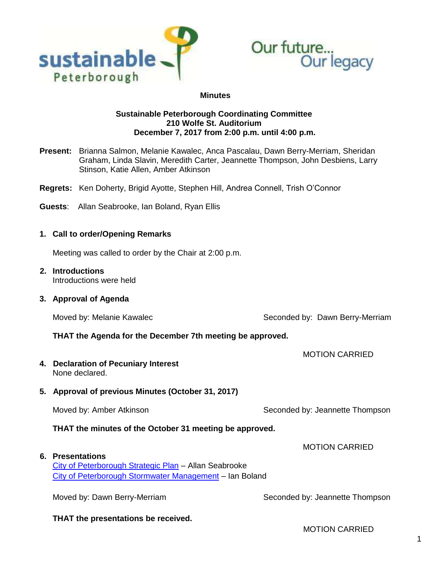



#### **Minutes**

#### **Sustainable Peterborough Coordinating Committee 210 Wolfe St. Auditorium December 7, 2017 from 2:00 p.m. until 4:00 p.m.**

- **Present:** Brianna Salmon, Melanie Kawalec, Anca Pascalau, Dawn Berry-Merriam, Sheridan Graham, Linda Slavin, Meredith Carter, Jeannette Thompson, John Desbiens, Larry Stinson, Katie Allen, Amber Atkinson
- **Regrets:** Ken Doherty, Brigid Ayotte, Stephen Hill, Andrea Connell, Trish O'Connor
- **Guests**: Allan Seabrooke, Ian Boland, Ryan Ellis

#### **1. Call to order/Opening Remarks**

Meeting was called to order by the Chair at 2:00 p.m.

# **2. Introductions**

Introductions were held

#### **3. Approval of Agenda**

Moved by: Melanie Kawalec **Seconded by: Dawn Berry-Merriam** 

MOTION CARRIED

#### **THAT the Agenda for the December 7th meeting be approved.**

**4. Declaration of Pecuniary Interest** None declared.

## **5. Approval of previous Minutes (October 31, 2017)**

Moved by: Amber Atkinson Moved by: Jeannette Thompson

**THAT the minutes of the October 31 meeting be approved.**

#### **6. Presentations**

# [City of Peterborough Strategic Plan](https://sustainablepeterborough.ca/wp-content/uploads/2017/12/Presentation-to-Sustainable-Peterborough-Meeting-Date-December-7-2017.pdf) – Allan Seabrooke [City of Peterborough Stormwater Management](https://sustainablepeterborough.ca/wp-content/uploads/2017/12/Peterborough-Rethink-the-Rain-Presentation_Sept28_17_SPCC_Final.pdf) – Ian Boland

Moved by: Dawn Berry-Merriam Seconded by: Jeannette Thompson

**THAT the presentations be received.**

MOTION CARRIED

MOTION CARRIED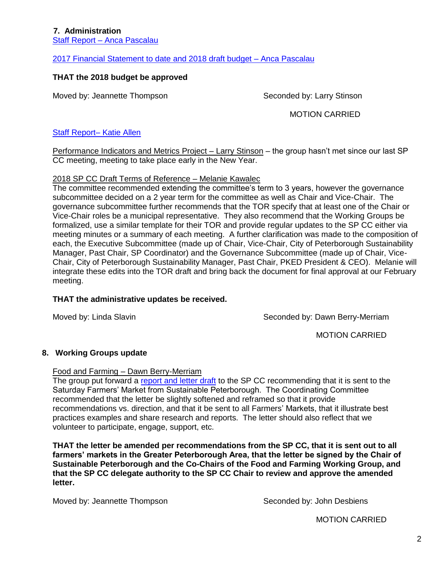# **7. Administration**

Staff Report – [Anca Pascalau](https://sustainablepeterborough.ca/wp-content/uploads/2017/12/Staff-Report-Dec-7.pdf)

[2017 Financial Statement to date and 2018 draft budget –](https://sustainablepeterborough.ca/wp-content/uploads/2017/12/2017-Financial-Statement-to-December-1-and-2018-Draft-Budget.pdf) Anca Pascalau

## **THAT the 2018 budget be approved**

Moved by: Jeannette Thompson Seconded by: Larry Stinson

MOTION CARRIED

#### [Staff Report–](https://sustainablepeterborough.ca/wp-content/uploads/2017/12/December-2017-PD-Update.pdf) Katie Allen

Performance Indicators and Metrics Project - Larry Stinson - the group hasn't met since our last SP CC meeting, meeting to take place early in the New Year.

#### 2018 SP CC Draft Terms of Reference – Melanie Kawalec

The committee recommended extending the committee's term to 3 years, however the governance subcommittee decided on a 2 year term for the committee as well as Chair and Vice-Chair. The governance subcommittee further recommends that the TOR specify that at least one of the Chair or Vice-Chair roles be a municipal representative. They also recommend that the Working Groups be formalized, use a similar template for their TOR and provide regular updates to the SP CC either via meeting minutes or a summary of each meeting. A further clarification was made to the composition of each, the Executive Subcommittee (made up of Chair, Vice-Chair, City of Peterborough Sustainability Manager, Past Chair, SP Coordinator) and the Governance Subcommittee (made up of Chair, Vice-Chair, City of Peterborough Sustainability Manager, Past Chair, PKED President & CEO). Melanie will integrate these edits into the TOR draft and bring back the document for final approval at our February meeting.

#### **THAT the administrative updates be received.**

Moved by: Linda Slavin Seconded by: Dawn Berry-Merriam

MOTION CARRIED

#### **8. Working Groups update**

Food and Farming – Dawn Berry-Merriam

The group put forward a [report and letter draft](https://sustainablepeterborough.ca/wp-content/uploads/2017/12/report-nov-30-farm-mark-letter.pdf) to the SP CC recommending that it is sent to the Saturday Farmers' Market from Sustainable Peterborough. The Coordinating Committee recommended that the letter be slightly softened and reframed so that it provide recommendations vs. direction, and that it be sent to all Farmers' Markets, that it illustrate best practices examples and share research and reports. The letter should also reflect that we volunteer to participate, engage, support, etc.

**THAT the letter be amended per recommendations from the SP CC, that it is sent out to all farmers' markets in the Greater Peterborough Area, that the letter be signed by the Chair of Sustainable Peterborough and the Co-Chairs of the Food and Farming Working Group, and that the SP CC delegate authority to the SP CC Chair to review and approve the amended letter.**

Moved by: Jeannette Thompson Seconded by: John Desbiens

MOTION CARRIED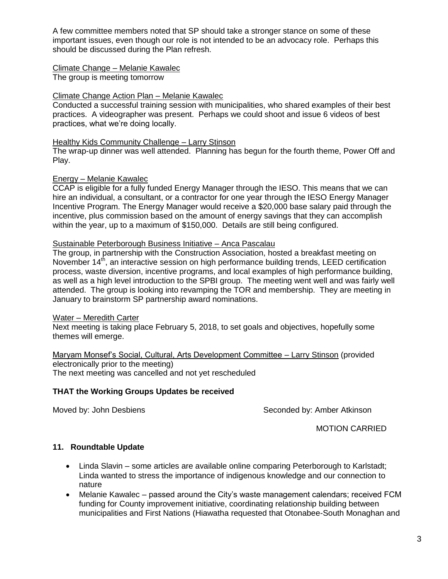A few committee members noted that SP should take a stronger stance on some of these important issues, even though our role is not intended to be an advocacy role. Perhaps this should be discussed during the Plan refresh.

### Climate Change – Melanie Kawalec

The group is meeting tomorrow

#### Climate Change Action Plan – Melanie Kawalec

Conducted a successful training session with municipalities, who shared examples of their best practices. A videographer was present. Perhaps we could shoot and issue 6 videos of best practices, what we're doing locally.

#### Healthy Kids Community Challenge – Larry Stinson

The wrap-up dinner was well attended. Planning has begun for the fourth theme, Power Off and Play.

#### Energy – Melanie Kawalec

CCAP is eligible for a fully funded Energy Manager through the IESO. This means that we can hire an individual, a consultant, or a contractor for one year through the IESO Energy Manager Incentive Program. The Energy Manager would receive a \$20,000 base salary paid through the incentive, plus commission based on the amount of energy savings that they can accomplish within the year, up to a maximum of \$150,000. Details are still being configured.

# Sustainable Peterborough Business Initiative – Anca Pascalau

The group, in partnership with the Construction Association, hosted a breakfast meeting on November 14<sup>th</sup>, an interactive session on high performance building trends, LEED certification process, waste diversion, incentive programs, and local examples of high performance building, as well as a high level introduction to the SPBI group. The meeting went well and was fairly well attended. The group is looking into revamping the TOR and membership. They are meeting in January to brainstorm SP partnership award nominations.

#### Water – Meredith Carter

Next meeting is taking place February 5, 2018, to set goals and objectives, hopefully some themes will emerge.

Maryam Monsef's Social, Cultural, Arts Development Committee – Larry Stinson (provided electronically prior to the meeting) The next meeting was cancelled and not yet rescheduled

## **THAT the Working Groups Updates be received**

Moved by: John Desbiens Seconded by: Amber Atkinson

MOTION CARRIED

# **11. Roundtable Update**

- Linda Slavin some articles are available online comparing Peterborough to Karlstadt; Linda wanted to stress the importance of indigenous knowledge and our connection to nature
- Melanie Kawalec passed around the City's waste management calendars; received FCM funding for County improvement initiative, coordinating relationship building between municipalities and First Nations (Hiawatha requested that Otonabee-South Monaghan and